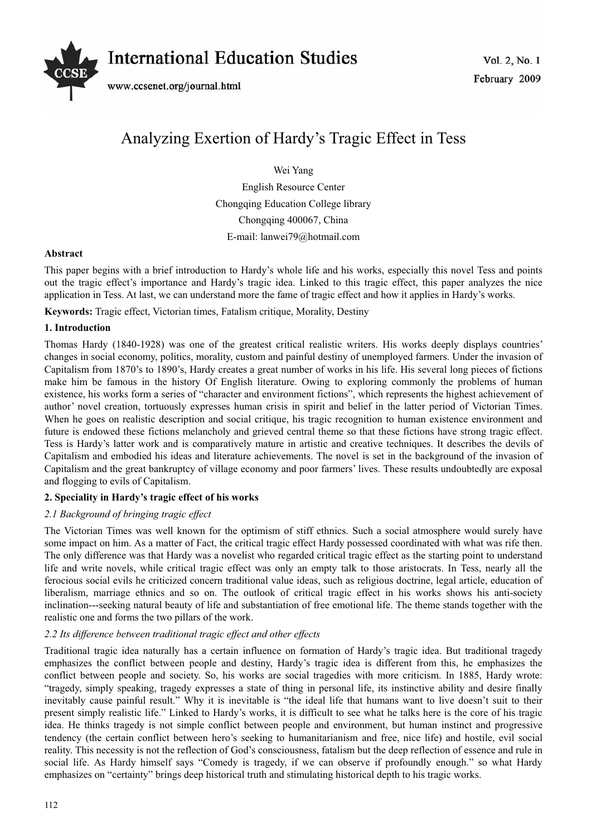

# Analyzing Exertion of Hardy's Tragic Effect in Tess

Wei Yang

English Resource Center Chongqing Education College library Chongqing 400067, China E-mail: lanwei79@hotmail.com

## **Abstract**

This paper begins with a brief introduction to Hardy's whole life and his works, especially this novel Tess and points out the tragic effect's importance and Hardy's tragic idea. Linked to this tragic effect, this paper analyzes the nice application in Tess. At last, we can understand more the fame of tragic effect and how it applies in Hardy's works.

**Keywords:** Tragic effect, Victorian times, Fatalism critique, Morality, Destiny

## **1. Introduction**

Thomas Hardy (1840-1928) was one of the greatest critical realistic writers. His works deeply displays countries' changes in social economy, politics, morality, custom and painful destiny of unemployed farmers. Under the invasion of Capitalism from 1870's to 1890's, Hardy creates a great number of works in his life. His several long pieces of fictions make him be famous in the history Of English literature. Owing to exploring commonly the problems of human existence, his works form a series of "character and environment fictions", which represents the highest achievement of author' novel creation, tortuously expresses human crisis in spirit and belief in the latter period of Victorian Times. When he goes on realistic description and social critique, his tragic recognition to human existence environment and future is endowed these fictions melancholy and grieved central theme so that these fictions have strong tragic effect. Tess is Hardy's latter work and is comparatively mature in artistic and creative techniques. It describes the devils of Capitalism and embodied his ideas and literature achievements. The novel is set in the background of the invasion of Capitalism and the great bankruptcy of village economy and poor farmers' lives. These results undoubtedly are exposal and flogging to evils of Capitalism.

# **2. Speciality in Hardy's tragic effect of his works**

# *2.1 Background of bringing tragic effect*

The Victorian Times was well known for the optimism of stiff ethnics. Such a social atmosphere would surely have some impact on him. As a matter of Fact, the critical tragic effect Hardy possessed coordinated with what was rife then. The only difference was that Hardy was a novelist who regarded critical tragic effect as the starting point to understand life and write novels, while critical tragic effect was only an empty talk to those aristocrats. In Tess, nearly all the ferocious social evils he criticized concern traditional value ideas, such as religious doctrine, legal article, education of liberalism, marriage ethnics and so on. The outlook of critical tragic effect in his works shows his anti-society inclination---seeking natural beauty of life and substantiation of free emotional life. The theme stands together with the realistic one and forms the two pillars of the work.

# *2.2 Its difference between traditional tragic effect and other effects*

Traditional tragic idea naturally has a certain influence on formation of Hardy's tragic idea. But traditional tragedy emphasizes the conflict between people and destiny, Hardy's tragic idea is different from this, he emphasizes the conflict between people and society. So, his works are social tragedies with more criticism. In 1885, Hardy wrote: "tragedy, simply speaking, tragedy expresses a state of thing in personal life, its instinctive ability and desire finally inevitably cause painful result." Why it is inevitable is "the ideal life that humans want to live doesn't suit to their present simply realistic life." Linked to Hardy's works, it is difficult to see what he talks here is the core of his tragic idea. He thinks tragedy is not simple conflict between people and environment, but human instinct and progressive tendency (the certain conflict between hero's seeking to humanitarianism and free, nice life) and hostile, evil social reality. This necessity is not the reflection of God's consciousness, fatalism but the deep reflection of essence and rule in social life. As Hardy himself says "Comedy is tragedy, if we can observe if profoundly enough." so what Hardy emphasizes on "certainty" brings deep historical truth and stimulating historical depth to his tragic works.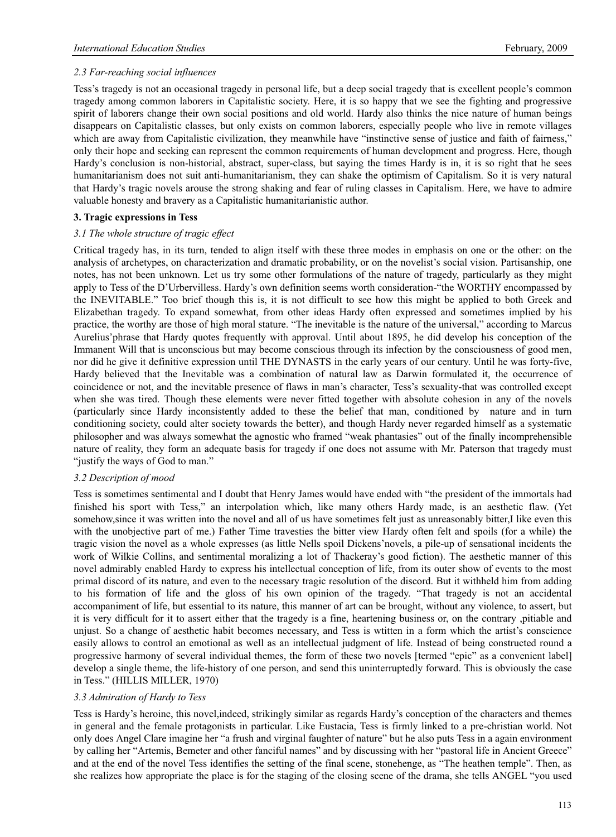# *2.3 Far-reaching social influences*

Tess's tragedy is not an occasional tragedy in personal life, but a deep social tragedy that is excellent people's common tragedy among common laborers in Capitalistic society. Here, it is so happy that we see the fighting and progressive spirit of laborers change their own social positions and old world. Hardy also thinks the nice nature of human beings disappears on Capitalistic classes, but only exists on common laborers, especially people who live in remote villages which are away from Capitalistic civilization, they meanwhile have "instinctive sense of justice and faith of fairness," only their hope and seeking can represent the common requirements of human development and progress. Here, though Hardy's conclusion is non-historial, abstract, super-class, but saying the times Hardy is in, it is so right that he sees humanitarianism does not suit anti-humanitarianism, they can shake the optimism of Capitalism. So it is very natural that Hardy's tragic novels arouse the strong shaking and fear of ruling classes in Capitalism. Here, we have to admire valuable honesty and bravery as a Capitalistic humanitarianistic author.

## **3. Tragic expressions in Tess**

#### *3.1 The whole structure of tragic effect*

Critical tragedy has, in its turn, tended to align itself with these three modes in emphasis on one or the other: on the analysis of archetypes, on characterization and dramatic probability, or on the novelist's social vision. Partisanship, one notes, has not been unknown. Let us try some other formulations of the nature of tragedy, particularly as they might apply to Tess of the D'Urbervilless. Hardy's own definition seems worth consideration-"the WORTHY encompassed by the INEVITABLE." Too brief though this is, it is not difficult to see how this might be applied to both Greek and Elizabethan tragedy. To expand somewhat, from other ideas Hardy often expressed and sometimes implied by his practice, the worthy are those of high moral stature. "The inevitable is the nature of the universal," according to Marcus Aurelius'phrase that Hardy quotes frequently with approval. Until about 1895, he did develop his conception of the Immanent Will that is unconscious but may become conscious through its infection by the consciousness of good men, nor did he give it definitive expression until THE DYNASTS in the early years of our century. Until he was forty-five, Hardy believed that the Inevitable was a combination of natural law as Darwin formulated it, the occurrence of coincidence or not, and the inevitable presence of flaws in man's character, Tess's sexuality-that was controlled except when she was tired. Though these elements were never fitted together with absolute cohesion in any of the novels (particularly since Hardy inconsistently added to these the belief that man, conditioned by nature and in turn conditioning society, could alter society towards the better), and though Hardy never regarded himself as a systematic philosopher and was always somewhat the agnostic who framed "weak phantasies" out of the finally incomprehensible nature of reality, they form an adequate basis for tragedy if one does not assume with Mr. Paterson that tragedy must "justify the ways of God to man."

# *3.2 Description of mood*

Tess is sometimes sentimental and I doubt that Henry James would have ended with "the president of the immortals had finished his sport with Tess," an interpolation which, like many others Hardy made, is an aesthetic flaw. (Yet somehow, since it was written into the novel and all of us have sometimes felt just as unreasonably bitter, I like even this with the unobjective part of me.) Father Time travesties the bitter view Hardy often felt and spoils (for a while) the tragic vision the novel as a whole expresses (as little Nells spoil Dickens'novels, a pile-up of sensational incidents the work of Wilkie Collins, and sentimental moralizing a lot of Thackeray's good fiction). The aesthetic manner of this novel admirably enabled Hardy to express his intellectual conception of life, from its outer show of events to the most primal discord of its nature, and even to the necessary tragic resolution of the discord. But it withheld him from adding to his formation of life and the gloss of his own opinion of the tragedy. "That tragedy is not an accidental accompaniment of life, but essential to its nature, this manner of art can be brought, without any violence, to assert, but it is very difficult for it to assert either that the tragedy is a fine, heartening business or, on the contrary ,pitiable and unjust. So a change of aesthetic habit becomes necessary, and Tess is wtitten in a form which the artist's conscience easily allows to control an emotional as well as an intellectual judgment of life. Instead of being constructed round a progressive harmony of several individual themes, the form of these two novels [termed "epic" as a convenient label] develop a single theme, the life-history of one person, and send this uninterruptedly forward. This is obviously the case in Tess." (HILLIS MILLER, 1970)

# *3.3 Admiration of Hardy to Tess*

Tess is Hardy's heroine, this novel,indeed, strikingly similar as regards Hardy's conception of the characters and themes in general and the female protagonists in particular. Like Eustacia, Tess is firmly linked to a pre-christian world. Not only does Angel Clare imagine her "a frush and virginal faughter of nature" but he also puts Tess in a again environment by calling her "Artemis, Bemeter and other fanciful names" and by discussing with her "pastoral life in Ancient Greece" and at the end of the novel Tess identifies the setting of the final scene, stonehenge, as "The heathen temple". Then, as she realizes how appropriate the place is for the staging of the closing scene of the drama, she tells ANGEL "you used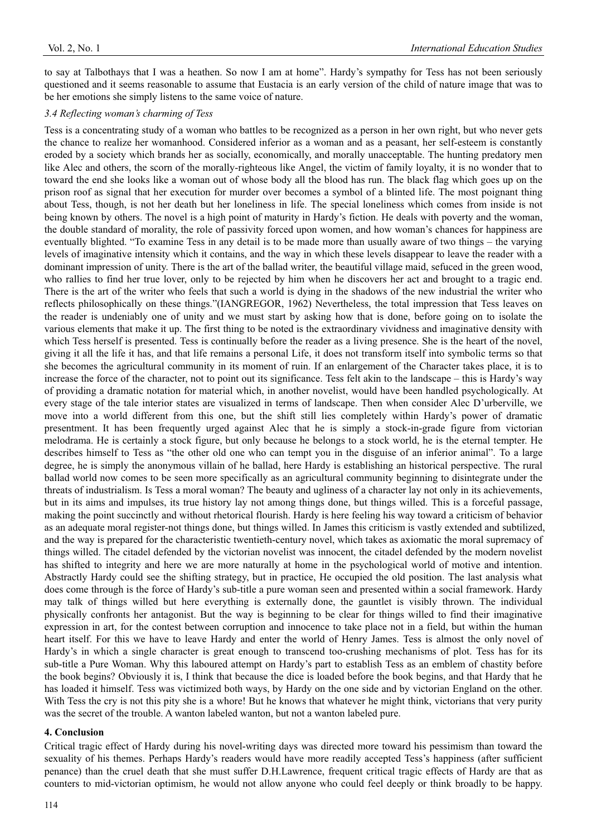to say at Talbothays that I was a heathen. So now I am at home". Hardy's sympathy for Tess has not been seriously questioned and it seems reasonable to assume that Eustacia is an early version of the child of nature image that was to be her emotions she simply listens to the same voice of nature.

#### *3.4 Reflecting woman's charming of Tess*

Tess is a concentrating study of a woman who battles to be recognized as a person in her own right, but who never gets the chance to realize her womanhood. Considered inferior as a woman and as a peasant, her self-esteem is constantly eroded by a society which brands her as socially, economically, and morally unacceptable. The hunting predatory men like Alec and others, the scorn of the morally-righteous like Angel, the victim of family loyalty, it is no wonder that to toward the end she looks like a woman out of whose body all the blood has run. The black flag which goes up on the prison roof as signal that her execution for murder over becomes a symbol of a blinted life. The most poignant thing about Tess, though, is not her death but her loneliness in life. The special loneliness which comes from inside is not being known by others. The novel is a high point of maturity in Hardy's fiction. He deals with poverty and the woman, the double standard of morality, the role of passivity forced upon women, and how woman's chances for happiness are eventually blighted. "To examine Tess in any detail is to be made more than usually aware of two things – the varying levels of imaginative intensity which it contains, and the way in which these levels disappear to leave the reader with a dominant impression of unity. There is the art of the ballad writer, the beautiful village maid, sefuced in the green wood, who rallies to find her true lover, only to be rejected by him when he discovers her act and brought to a tragic end. There is the art of the writer who feels that such a world is dying in the shadows of the new industrial the writer who reflects philosophically on these things."(IANGREGOR, 1962) Nevertheless, the total impression that Tess leaves on the reader is undeniably one of unity and we must start by asking how that is done, before going on to isolate the various elements that make it up. The first thing to be noted is the extraordinary vividness and imaginative density with which Tess herself is presented. Tess is continually before the reader as a living presence. She is the heart of the novel, giving it all the life it has, and that life remains a personal Life, it does not transform itself into symbolic terms so that she becomes the agricultural community in its moment of ruin. If an enlargement of the Character takes place, it is to increase the force of the character, not to point out its significance. Tess felt akin to the landscape – this is Hardy's way of providing a dramatic notation for material which, in another novelist, would have been handled psychologically. At every stage of the tale interior states are visualized in terms of landscape. Then when consider Alec D'urberville, we move into a world different from this one, but the shift still lies completely within Hardy's power of dramatic presentment. It has been frequently urged against Alec that he is simply a stock-in-grade figure from victorian melodrama. He is certainly a stock figure, but only because he belongs to a stock world, he is the eternal tempter. He describes himself to Tess as "the other old one who can tempt you in the disguise of an inferior animal". To a large degree, he is simply the anonymous villain of he ballad, here Hardy is establishing an historical perspective. The rural ballad world now comes to be seen more specifically as an agricultural community beginning to disintegrate under the threats of industrialism. Is Tess a moral woman? The beauty and ugliness of a character lay not only in its achievements, but in its aims and impulses, its true history lay not among things done, but things willed. This is a forceful passage, making the point succinctly and without rhetorical flourish. Hardy is here feeling his way toward a criticism of behavior as an adequate moral register-not things done, but things willed. In James this criticism is vastly extended and subtilized, and the way is prepared for the characteristic twentieth-century novel, which takes as axiomatic the moral supremacy of things willed. The citadel defended by the victorian novelist was innocent, the citadel defended by the modern novelist has shifted to integrity and here we are more naturally at home in the psychological world of motive and intention. Abstractly Hardy could see the shifting strategy, but in practice, He occupied the old position. The last analysis what does come through is the force of Hardy's sub-title a pure woman seen and presented within a social framework. Hardy may talk of things willed but here everything is externally done, the gauntlet is visibly thrown. The individual physically confronts her antagonist. But the way is beginning to be clear for things willed to find their imaginative expression in art, for the contest between corruption and innocence to take place not in a field, but within the human heart itself. For this we have to leave Hardy and enter the world of Henry James. Tess is almost the only novel of Hardy's in which a single character is great enough to transcend too-crushing mechanisms of plot. Tess has for its sub-title a Pure Woman. Why this laboured attempt on Hardy's part to establish Tess as an emblem of chastity before the book begins? Obviously it is, I think that because the dice is loaded before the book begins, and that Hardy that he has loaded it himself. Tess was victimized both ways, by Hardy on the one side and by victorian England on the other. With Tess the cry is not this pity she is a whore! But he knows that whatever he might think, victorians that very purity was the secret of the trouble. A wanton labeled wanton, but not a wanton labeled pure.

#### **4. Conclusion**

Critical tragic effect of Hardy during his novel-writing days was directed more toward his pessimism than toward the sexuality of his themes. Perhaps Hardy's readers would have more readily accepted Tess's happiness (after sufficient penance) than the cruel death that she must suffer D.H.Lawrence, frequent critical tragic effects of Hardy are that as counters to mid-victorian optimism, he would not allow anyone who could feel deeply or think broadly to be happy.